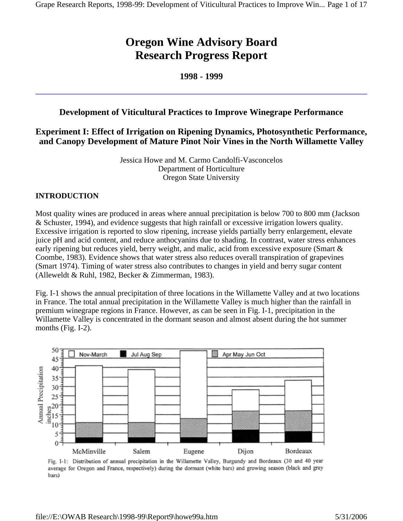# **Oregon Wine Advisory Board Research Progress Report**

## **1998 - 1999**

# **Development of Viticultural Practices to Improve Winegrape Performance**

# **Experiment I: Effect of Irrigation on Ripening Dynamics, Photosynthetic Performance, and Canopy Development of Mature Pinot Noir Vines in the North Willamette Valley**

Jessica Howe and M. Carmo Candolfi-Vasconcelos Department of Horticulture Oregon State University

## **INTRODUCTION**

Most quality wines are produced in areas where annual precipitation is below 700 to 800 mm (Jackson & Schuster, 1994), and evidence suggests that high rainfall or excessive irrigation lowers quality. Excessive irrigation is reported to slow ripening, increase yields partially berry enlargement, elevate juice pH and acid content, and reduce anthocyanins due to shading. In contrast, water stress enhances early ripening but reduces yield, berry weight, and malic, acid from excessive exposure (Smart & Coombe, 1983). Evidence shows that water stress also reduces overall transpiration of grapevines (Smart 1974). Timing of water stress also contributes to changes in yield and berry sugar content (Alleweldt & Ruhl, 1982, Becker & Zimmerman, 1983).

Fig. I-1 shows the annual precipitation of three locations in the Willamette Valley and at two locations in France. The total annual precipitation in the Willamette Valley is much higher than the rainfall in premium winegrape regions in France. However, as can be seen in Fig. I-1, precipitation in the Willamette Valley is concentrated in the dormant season and almost absent during the hot summer months (Fig. I-2).



Fig. I-1: Distribution of annual precipitation in the Willamette Valley, Burgundy and Bordeaux (30 and 40 year average for Oregon and France, respectively) during the dormant (white bars) and growing season (black and gray bars)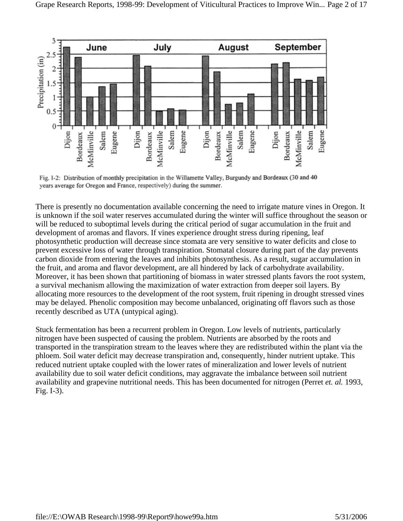

Fig. I-2: Distribution of monthly precipitation in the Willamette Valley, Burgundy and Bordeaux (30 and 40 years average for Oregon and France, respectively) during the summer.

There is presently no documentation available concerning the need to irrigate mature vines in Oregon. It is unknown if the soil water reserves accumulated during the winter will suffice throughout the season or will be reduced to suboptimal levels during the critical period of sugar accumulation in the fruit and development of aromas and flavors. If vines experience drought stress during ripening, leaf photosynthetic production will decrease since stomata are very sensitive to water deficits and close to prevent excessive loss of water through transpiration. Stomatal closure during part of the day prevents carbon dioxide from entering the leaves and inhibits photosynthesis. As a result, sugar accumulation in the fruit, and aroma and flavor development, are all hindered by lack of carbohydrate availability. Moreover, it has been shown that partitioning of biomass in water stressed plants favors the root system, a survival mechanism allowing the maximization of water extraction from deeper soil layers. By allocating more resources to the development of the root system, fruit ripening in drought stressed vines may be delayed. Phenolic composition may become unbalanced, originating off flavors such as those recently described as UTA (untypical aging).

Stuck fermentation has been a recurrent problem in Oregon. Low levels of nutrients, particularly nitrogen have been suspected of causing the problem. Nutrients are absorbed by the roots and transported in the transpiration stream to the leaves where they are redistributed within the plant via the phloem. Soil water deficit may decrease transpiration and, consequently, hinder nutrient uptake. This reduced nutrient uptake coupled with the lower rates of mineralization and lower levels of nutrient availability due to soil water deficit conditions, may aggravate the imbalance between soil nutrient availability and grapevine nutritional needs. This has been documented for nitrogen (Perret *et. al.* 1993, Fig. I-3).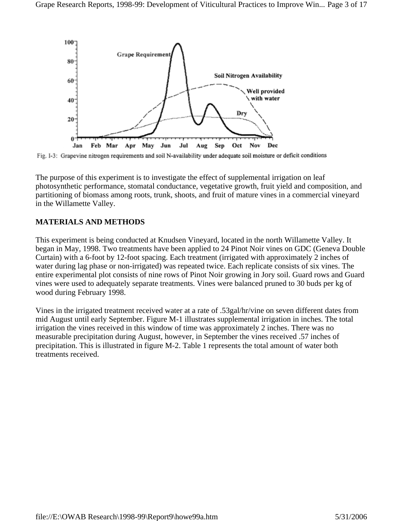

Fig. I-3: Grapevine nitrogen requirements and soil N-availability under adequate soil moisture or deficit conditions

The purpose of this experiment is to investigate the effect of supplemental irrigation on leaf photosynthetic performance, stomatal conductance, vegetative growth, fruit yield and composition, and partitioning of biomass among roots, trunk, shoots, and fruit of mature vines in a commercial vineyard in the Willamette Valley.

#### **MATERIALS AND METHODS**

This experiment is being conducted at Knudsen Vineyard, located in the north Willamette Valley. It began in May, 1998. Two treatments have been applied to 24 Pinot Noir vines on GDC (Geneva Double Curtain) with a 6-foot by 12-foot spacing. Each treatment (irrigated with approximately 2 inches of water during lag phase or non-irrigated) was repeated twice. Each replicate consists of six vines. The entire experimental plot consists of nine rows of Pinot Noir growing in Jory soil. Guard rows and Guard vines were used to adequately separate treatments. Vines were balanced pruned to 30 buds per kg of wood during February 1998.

Vines in the irrigated treatment received water at a rate of .53gal/hr/vine on seven different dates from mid August until early September. Figure M-1 illustrates supplemental irrigation in inches. The total irrigation the vines received in this window of time was approximately 2 inches. There was no measurable precipitation during August, however, in September the vines received .57 inches of precipitation. This is illustrated in figure M-2. Table 1 represents the total amount of water both treatments received.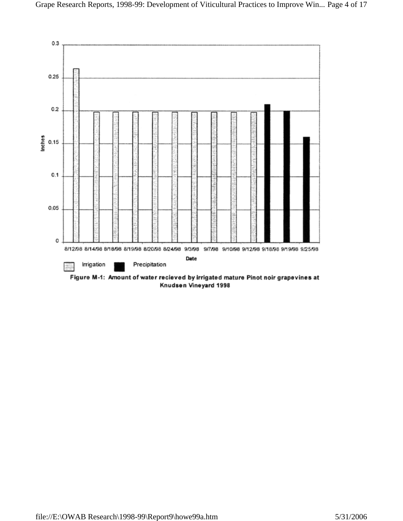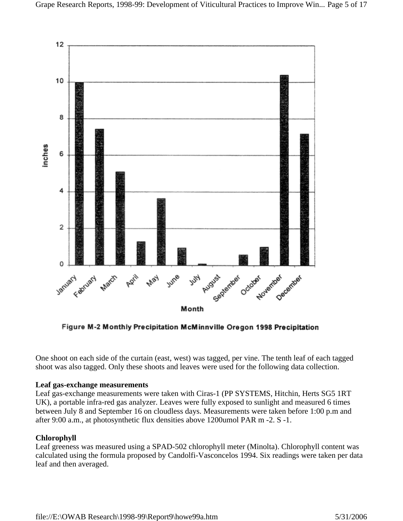

Figure M-2 Monthly Precipitation McMinnville Oregon 1998 Precipitation

One shoot on each side of the curtain (east, west) was tagged, per vine. The tenth leaf of each tagged shoot was also tagged. Only these shoots and leaves were used for the following data collection.

## **Leaf gas-exchange measurements**

Leaf gas-exchange measurements were taken with Ciras-1 (PP SYSTEMS, Hitchin, Herts SG5 1RT UK), a portable infra-red gas analyzer. Leaves were fully exposed to sunlight and measured 6 times between July 8 and September 16 on cloudless days. Measurements were taken before 1:00 p.m and after 9:00 a.m., at photosynthetic flux densities above 1200umol PAR m -2. S -1.

## **Chlorophyll**

Leaf greeness was measured using a SPAD-502 chlorophyll meter (Minolta). Chlorophyll content was calculated using the formula proposed by Candolfi-Vasconcelos 1994. Six readings were taken per data leaf and then averaged.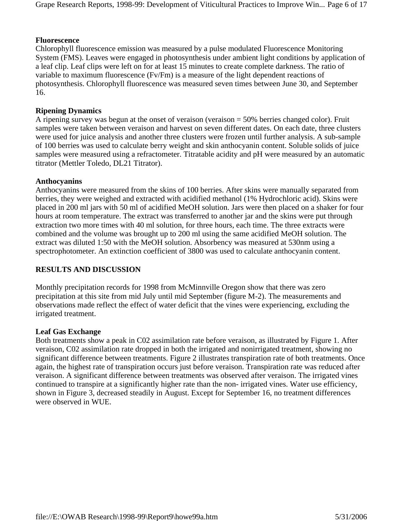### **Fluorescence**

Chlorophyll fluorescence emission was measured by a pulse modulated Fluorescence Monitoring System (FMS). Leaves were engaged in photosynthesis under ambient light conditions by application of a leaf clip. Leaf clips were left on for at least 15 minutes to create complete darkness. The ratio of variable to maximum fluorescence (Fv/Fm) is a measure of the light dependent reactions of photosynthesis. Chlorophyll fluorescence was measured seven times between June 30, and September 16.

## **Ripening Dynamics**

A ripening survey was begun at the onset of veraison (veraison = 50% berries changed color). Fruit samples were taken between veraison and harvest on seven different dates. On each date, three clusters were used for juice analysis and another three clusters were frozen until further analysis. A sub-sample of 100 berries was used to calculate berry weight and skin anthocyanin content. Soluble solids of juice samples were measured using a refractometer. Titratable acidity and pH were measured by an automatic titrator (Mettler Toledo, DL21 Titrator).

## **Anthocyanins**

Anthocyanins were measured from the skins of 100 berries. After skins were manually separated from berries, they were weighed and extracted with acidified methanol (1% Hydrochloric acid). Skins were placed in 200 ml jars with 50 ml of acidified MeOH solution. Jars were then placed on a shaker for four hours at room temperature. The extract was transferred to another jar and the skins were put through extraction two more times with 40 ml solution, for three hours, each time. The three extracts were combined and the volume was brought up to 200 ml using the same acidified MeOH solution. The extract was diluted 1:50 with the MeOH solution. Absorbency was measured at 530nm using a spectrophotometer. An extinction coefficient of 3800 was used to calculate anthocyanin content.

## **RESULTS AND DISCUSSION**

Monthly precipitation records for 1998 from McMinnville Oregon show that there was zero precipitation at this site from mid July until mid September (figure M-2). The measurements and observations made reflect the effect of water deficit that the vines were experiencing, excluding the irrigated treatment.

#### **Leaf Gas Exchange**

Both treatments show a peak in C02 assimilation rate before veraison, as illustrated by Figure 1. After veraison, C02 assimilation rate dropped in both the irrigated and nonirrigated treatment, showing no significant difference between treatments. Figure 2 illustrates transpiration rate of both treatments. Once again, the highest rate of transpiration occurs just before veraison. Transpiration rate was reduced after veraison. A significant difference between treatments was observed after veraison. The irrigated vines continued to transpire at a significantly higher rate than the non- irrigated vines. Water use efficiency, shown in Figure 3, decreased steadily in August. Except for September 16, no treatment differences were observed in WUE.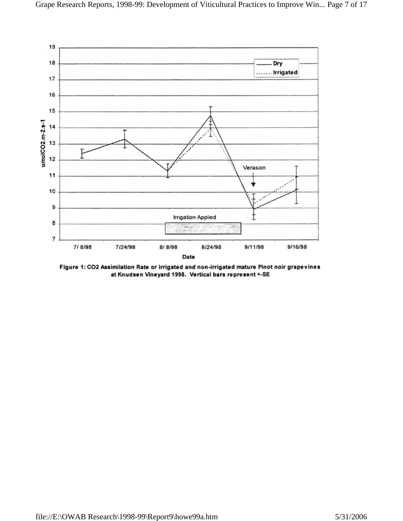

Figure 1: CO2 Assimilation Rate or irrigated and non-irrigated mature Pinot noir grapevines at Knudsen Vineyard 1998. Vertical bars represent +-SE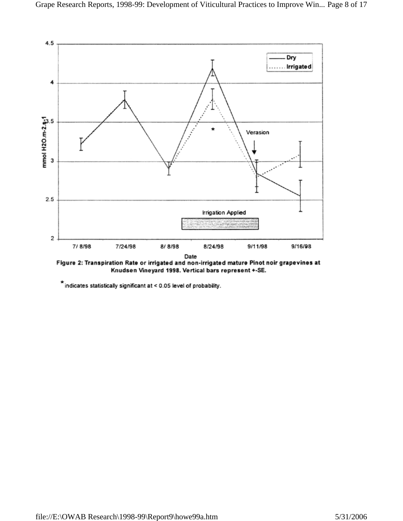

Figure 2: Transpiration Rate or irrigated and non-irrigated mature Pinot noir grapevines at Knudsen Vineyard 1998. Vertical bars represent +-SE.

 $\star$  indicates statistically significant at < 0.05 level of probability.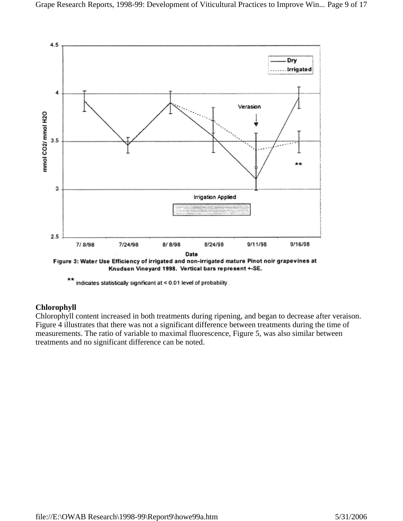

Knudsen Vineyard 1998. Vertical bars represent +-SE.

indicates statistically significant at < 0.01 level of probability.

## **Chlorophyll**

Chlorophyll content increased in both treatments during ripening, and began to decrease after veraison. Figure 4 illustrates that there was not a significant difference between treatments during the time of measurements. The ratio of variable to maximal fluorescence, Figure 5, was also similar between treatments and no significant difference can be noted.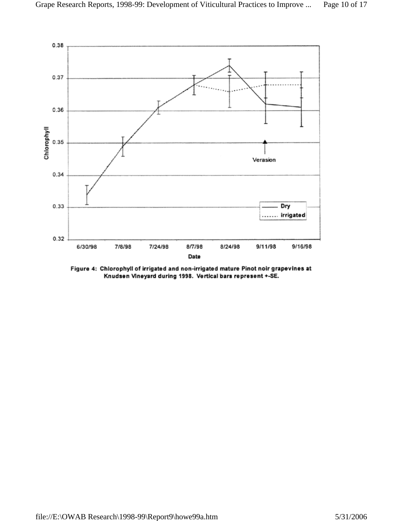

Figure 4: Chlorophyll of irrigated and non-irrigated mature Pinot noir grapevines at Knudsen Vineyard during 1998. Vertical bars represent +-SE.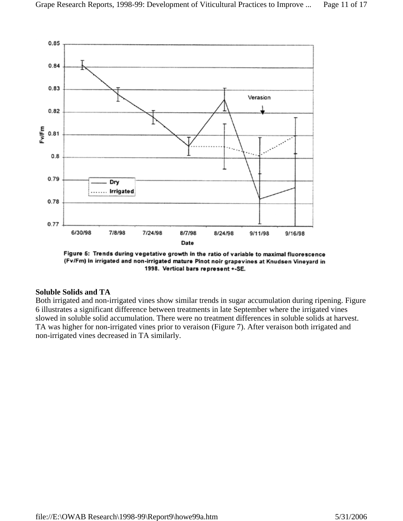

Figure 5: Trends during vegetative growth in the ratio of variable to maximal fluorescence (Fv/Fm) in irrigated and non-irrigated mature Pinot noir grapevines at Knudsen Vineyard in 1998. Vertical bars represent +-SE.

#### **Soluble Solids and TA**

Both irrigated and non-irrigated vines show similar trends in sugar accumulation during ripening. Figure 6 illustrates a significant difference between treatments in late September where the irrigated vines slowed in soluble solid accumulation. There were no treatment differences in soluble solids at harvest. TA was higher for non-irrigated vines prior to veraison (Figure 7). After veraison both irrigated and non-irrigated vines decreased in TA similarly.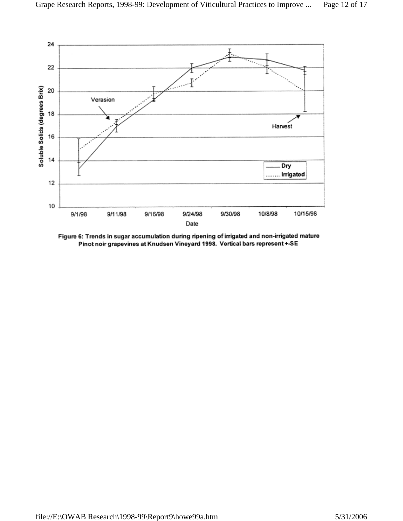

Figure 6: Trends in sugar accumulation during ripening of irrigated and non-irrigated mature Pinot noir grapevines at Knudsen Vineyard 1998. Vertical bars represent +-SE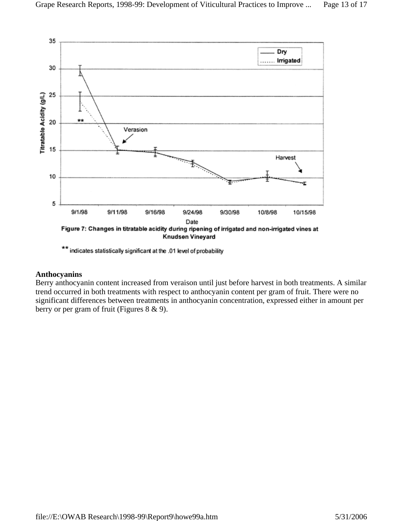

\*\* indicates statistically significant at the .01 level of probability

#### **Anthocyanins**

Berry anthocyanin content increased from veraison until just before harvest in both treatments. A similar trend occurred in both treatments with respect to anthocyanin content per gram of fruit. There were no significant differences between treatments in anthocyanin concentration, expressed either in amount per berry or per gram of fruit (Figures 8 & 9).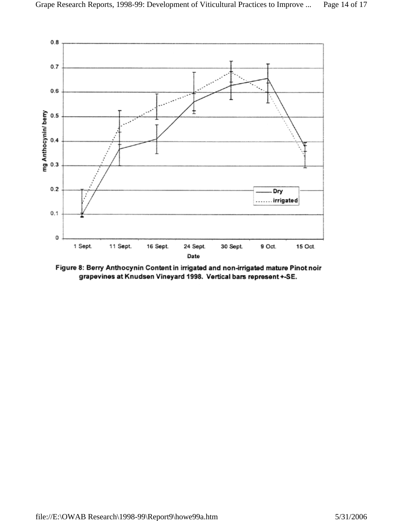

Figure 8: Berry Anthocynin Content in irrigated and non-irrigated mature Pinot noir grapevines at Knudsen Vineyard 1998. Vertical bars represent +-SE.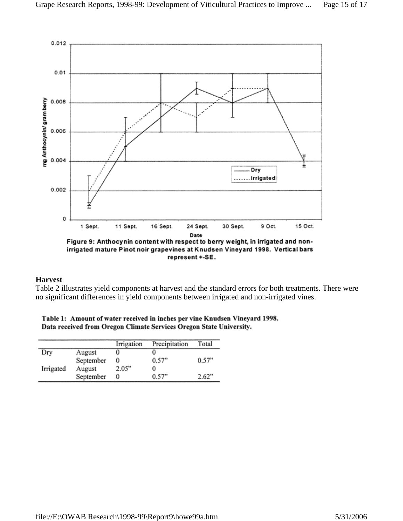

#### **Harvest**

Table 2 illustrates yield components at harvest and the standard errors for both treatments. There were no significant differences in yield components between irrigated and non-irrigated vines.

| Table 1: Amount of water received in inches per vine Knudsen Vineyard 1998. |  |  |  |  |
|-----------------------------------------------------------------------------|--|--|--|--|
| Data received from Oregon Climate Services Oregon State University.         |  |  |  |  |

|           |           | Irrigation | Precipitation | Total |
|-----------|-----------|------------|---------------|-------|
| Dry       | August    |            |               |       |
|           | September |            | 0.57"         | 0.57" |
| Irrigated | August    | 2.05"      |               |       |
|           | September |            | 0.57"         | 2.62" |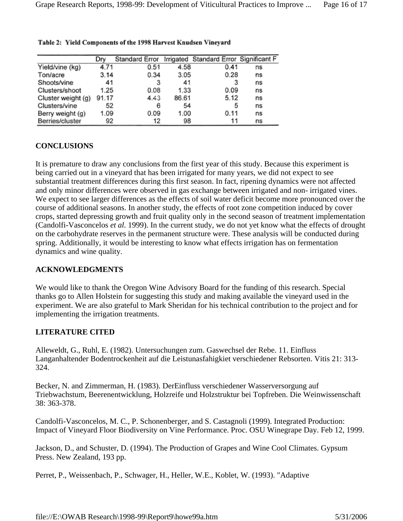|                    | Dry   | Standard Error |       | Irrigated Standard Error Significant F |    |
|--------------------|-------|----------------|-------|----------------------------------------|----|
| Yield/vine (kg)    | 4.71  | 0.51           | 4.58  | 0.41                                   | ns |
| Ton/acre           | 3.14  | 0.34           | 3.05  | 0.28                                   | ns |
| Shoots/vine        | 41    | 3              | 41    | 3                                      | ns |
| Clusters/shoot     | 1.25  | 0.08           | 1.33  | 0.09                                   | ns |
| Cluster weight (g) | 91.17 | 4.43           | 86.61 | 5.12                                   | ns |
| Clusters/vine      | 52    | 6              | 54    | 5                                      | ns |
| Berry weight (g)   | 1.09  | 0.09           | 1.00  | 0.11                                   | ns |
| Berries/cluster    | 92    | 12             | 98    | 11                                     | ns |

#### Table 2: Yield Components of the 1998 Harvest Knudsen Vineyard

## **CONCLUSIONS**

It is premature to draw any conclusions from the first year of this study. Because this experiment is being carried out in a vineyard that has been irrigated for many years, we did not expect to see substantial treatment differences during this first season. In fact, ripening dynamics were not affected and only minor differences were observed in gas exchange between irrigated and non- irrigated vines. We expect to see larger differences as the effects of soil water deficit become more pronounced over the course of additional seasons. In another study, the effects of root zone competition induced by cover crops, started depressing growth and fruit quality only in the second season of treatment implementation (Candolfi-Vasconcelos *et al.* 1999). In the current study, we do not yet know what the effects of drought on the carbohydrate reserves in the permanent structure were. These analysis will be conducted during spring. Additionally, it would be interesting to know what effects irrigation has on fermentation dynamics and wine quality.

#### **ACKNOWLEDGMENTS**

We would like to thank the Oregon Wine Advisory Board for the funding of this research. Special thanks go to Allen Holstein for suggesting this study and making available the vineyard used in the experiment. We are also grateful to Mark Sheridan for his technical contribution to the project and for implementing the irrigation treatments.

#### **LITERATURE CITED**

Alleweldt, G., Ruhl, E. (1982). Untersuchungen zum. Gaswechsel der Rebe. 11. Einfluss Langanhaltender Bodentrockenheit auf die Leistunasfahigkiet verschiedener Rebsorten. Vitis 21: 313- 324.

Becker, N. and Zimmerman, H. (1983). DerEinfluss verschiedener Wasserversorgung auf Triebwachstum, Beerenentwicklung, Holzreife und Holzstruktur bei Topfreben. Die Weinwissenschaft 38: 363-378.

Candolfi-Vasconcelos, M. C., P. Schonenberger, and S. Castagnoli (1999). Integrated Production: Impact of Vineyard Floor Biodiversity on Vine Performance. Proc. OSU Winegrape Day. Feb 12, 1999.

Jackson, D., and Schuster, D. (1994). The Production of Grapes and Wine Cool Climates. Gypsum Press. New Zealand, 193 pp.

Perret, P., Weissenbach, P., Schwager, H., Heller, W.E., Koblet, W. (1993). "Adaptive